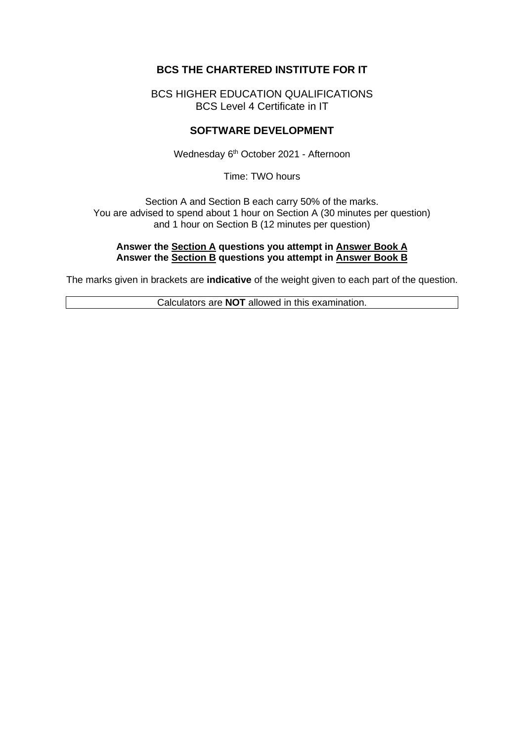# **BCS THE CHARTERED INSTITUTE FOR IT**

BCS HIGHER EDUCATION QUALIFICATIONS BCS Level 4 Certificate in IT

### **SOFTWARE DEVELOPMENT**

Wednesday 6 th October 2021 - Afternoon

Time: TWO hours

Section A and Section B each carry 50% of the marks. You are advised to spend about 1 hour on Section A (30 minutes per question) and 1 hour on Section B (12 minutes per question)

#### **Answer the Section A questions you attempt in Answer Book A Answer the Section B questions you attempt in Answer Book B**

The marks given in brackets are **indicative** of the weight given to each part of the question.

Calculators are **NOT** allowed in this examination.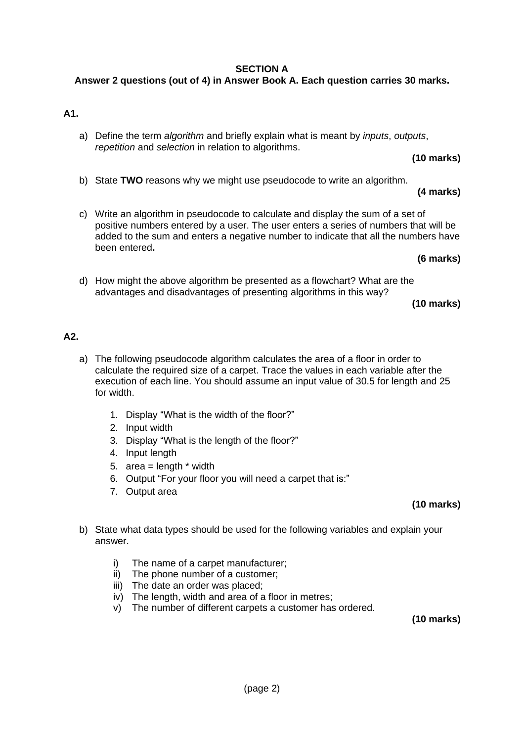### **SECTION A**

# **Answer 2 questions (out of 4) in Answer Book A. Each question carries 30 marks.**

## **A1.**

a) Define the term *algorithm* and briefly explain what is meant by *inputs*, *outputs*, *repetition* and *selection* in relation to algorithms.

**(10 marks)**

b) State **TWO** reasons why we might use pseudocode to write an algorithm.

### **(4 marks)**

c) Write an algorithm in pseudocode to calculate and display the sum of a set of positive numbers entered by a user. The user enters a series of numbers that will be added to the sum and enters a negative number to indicate that all the numbers have been entered**.**

**(6 marks)**

d) How might the above algorithm be presented as a flowchart? What are the advantages and disadvantages of presenting algorithms in this way?

**(10 marks)**

### **A2.**

- a) The following pseudocode algorithm calculates the area of a floor in order to calculate the required size of a carpet. Trace the values in each variable after the execution of each line. You should assume an input value of 30.5 for length and 25 for width.
	- 1. Display "What is the width of the floor?"
	- 2. Input width
	- 3. Display "What is the length of the floor?"
	- 4. Input length
	- 5. area =  $length * width$
	- 6. Output "For your floor you will need a carpet that is:"
	- 7. Output area

## **(10 marks)**

- b) State what data types should be used for the following variables and explain your answer.
	- i) The name of a carpet manufacturer;
	- ii) The phone number of a customer;
	- iii) The date an order was placed;
	- iv) The length, width and area of a floor in metres;
	- v) The number of different carpets a customer has ordered.

**(10 marks)**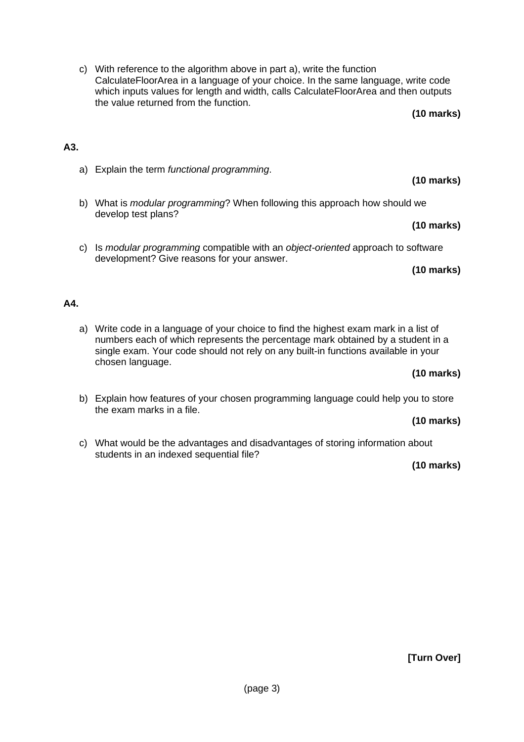c) With reference to the algorithm above in part a), write the function CalculateFloorArea in a language of your choice. In the same language, write code which inputs values for length and width, calls CalculateFloorArea and then outputs the value returned from the function. **(10 marks)**

# **A3.**

- a) Explain the term *functional programming*.
- b) What is *modular programming*? When following this approach how should we develop test plans?
	- **(10 marks)**
- c) Is *modular programming* compatible with an *object-oriented* approach to software development? Give reasons for your answer.

### **(10 marks)**

## **A4.**

a) Write code in a language of your choice to find the highest exam mark in a list of numbers each of which represents the percentage mark obtained by a student in a single exam. Your code should not rely on any built-in functions available in your chosen language.

### **(10 marks)**

b) Explain how features of your chosen programming language could help you to store the exam marks in a file.

### **(10 marks)**

c) What would be the advantages and disadvantages of storing information about students in an indexed sequential file?

### **(10 marks)**

# **(10 marks)**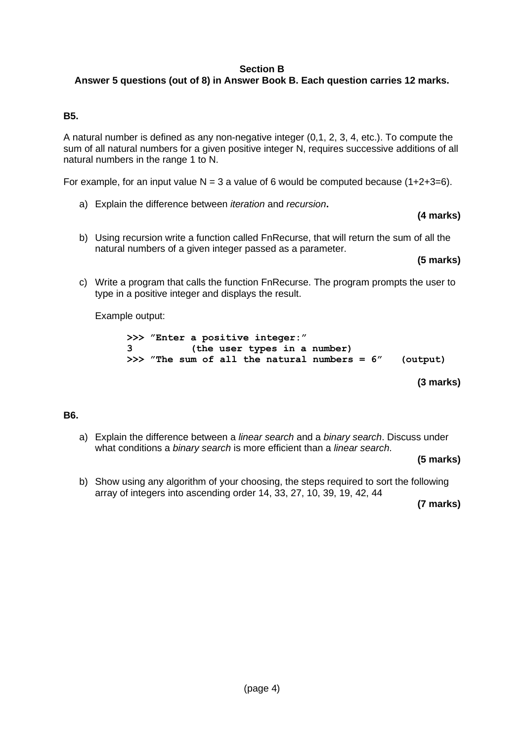### **Section B**

# **Answer 5 questions (out of 8) in Answer Book B. Each question carries 12 marks.**

### **B5.**

A natural number is defined as any non-negative integer (0,1, 2, 3, 4, etc.). To compute the sum of all natural numbers for a given positive integer N, requires successive additions of all natural numbers in the range 1 to N.

For example, for an input value  $N = 3$  a value of 6 would be computed because (1+2+3=6).

a) Explain the difference between *iteration* and *recursion***.**

### **(4 marks)**

b) Using recursion write a function called FnRecurse, that will return the sum of all the natural numbers of a given integer passed as a parameter.

**(5 marks)**

c) Write a program that calls the function FnRecurse. The program prompts the user to type in a positive integer and displays the result.

Example output:

**>>> "Enter a positive integer:" 3 (the user types in a number) >>> "The sum of all the natural numbers = 6" (output)**

### **(3 marks)**

### **B6.**

a) Explain the difference between a *linear search* and a *binary search*. Discuss under what conditions a *binary search* is more efficient than a *linear search*.

**(5 marks)**

b) Show using any algorithm of your choosing, the steps required to sort the following array of integers into ascending order 14, 33, 27, 10, 39, 19, 42, 44

**(7 marks)**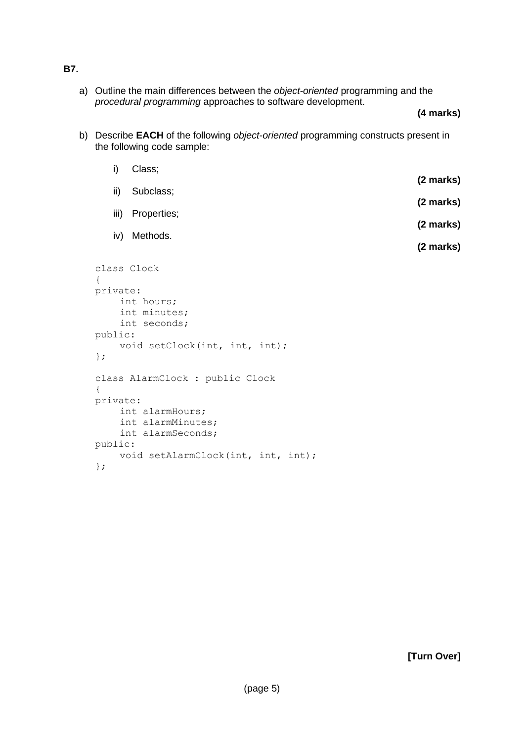### **B7.**

a) Outline the main differences between the *object-oriented* programming and the *procedural programming* approaches to software development.

### **(4 marks)**

b) Describe **EACH** of the following *object-oriented* programming constructs present in the following code sample:

|                               | i)<br>Class; |                                      |           |  |  |
|-------------------------------|--------------|--------------------------------------|-----------|--|--|
|                               | ii)          | Subclass;                            | (2 marks) |  |  |
|                               |              |                                      | (2 marks) |  |  |
|                               |              | iii) Properties;                     | (2 marks) |  |  |
|                               | iv)          | Methods.                             |           |  |  |
|                               |              |                                      | (2 marks) |  |  |
| $\{$                          |              | class Clock                          |           |  |  |
| private:                      |              |                                      |           |  |  |
|                               | int hours;   |                                      |           |  |  |
|                               |              | int minutes;                         |           |  |  |
| int seconds;<br>public:       |              |                                      |           |  |  |
| void setClock(int, int, int); |              |                                      |           |  |  |
| $\}$ ;                        |              |                                      |           |  |  |
| $\{$                          |              | class AlarmClock : public Clock      |           |  |  |
| private:                      |              |                                      |           |  |  |
|                               |              | int alarmHours;<br>int alarmMinutes; |           |  |  |
|                               |              | int alarmSeconds;                    |           |  |  |
| public:                       |              |                                      |           |  |  |
|                               |              | void setAlarmClock(int, int, int);   |           |  |  |
| $\}$ ;                        |              |                                      |           |  |  |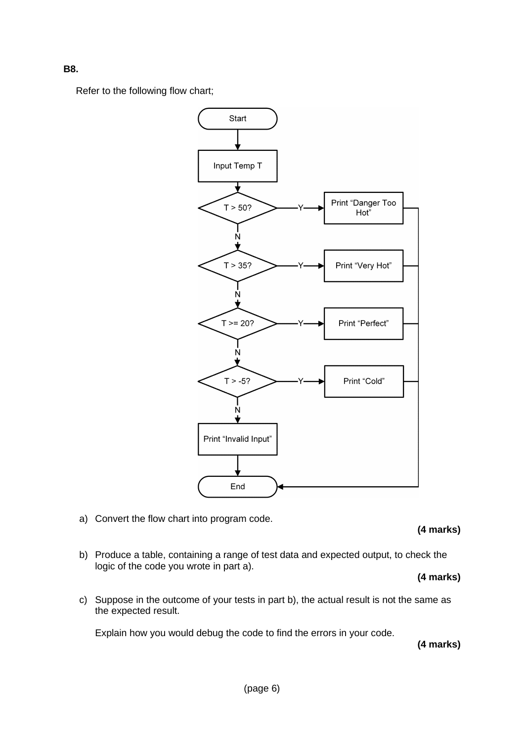**B8.**

Refer to the following flow chart;



a) Convert the flow chart into program code.

**(4 marks)**

b) Produce a table, containing a range of test data and expected output, to check the logic of the code you wrote in part a).

**(4 marks)**

c) Suppose in the outcome of your tests in part b), the actual result is not the same as the expected result.

Explain how you would debug the code to find the errors in your code.

**(4 marks)**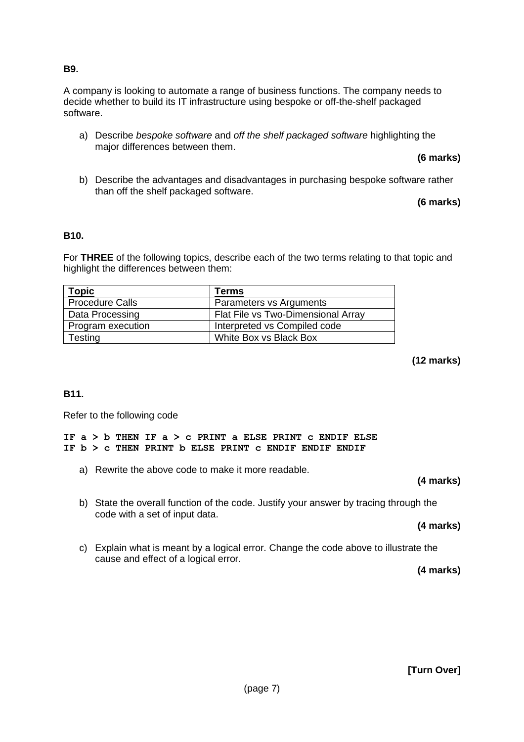### **B9.**

A company is looking to automate a range of business functions. The company needs to decide whether to build its IT infrastructure using bespoke or off-the-shelf packaged software.

a) Describe *bespoke software* and *off the shelf packaged software* highlighting the major differences between them.

**(6 marks)**

b) Describe the advantages and disadvantages in purchasing bespoke software rather than off the shelf packaged software.

**(6 marks)**

### **B10.**

For **THREE** of the following topics, describe each of the two terms relating to that topic and highlight the differences between them:

| Topic                  | Terms                              |  |
|------------------------|------------------------------------|--|
| <b>Procedure Calls</b> | Parameters vs Arguments            |  |
| Data Processing        | Flat File vs Two-Dimensional Array |  |
| Program execution      | Interpreted vs Compiled code       |  |
| Testing                | White Box vs Black Box             |  |

### **(12 marks)**

## **B11.**

Refer to the following code

**IF a > b THEN IF a > c PRINT a ELSE PRINT c ENDIF ELSE IF b > c THEN PRINT b ELSE PRINT c ENDIF ENDIF ENDIF**

a) Rewrite the above code to make it more readable.

### **(4 marks)**

b) State the overall function of the code. Justify your answer by tracing through the code with a set of input data.

### **(4 marks)**

c) Explain what is meant by a logical error. Change the code above to illustrate the cause and effect of a logical error.

**(4 marks)**